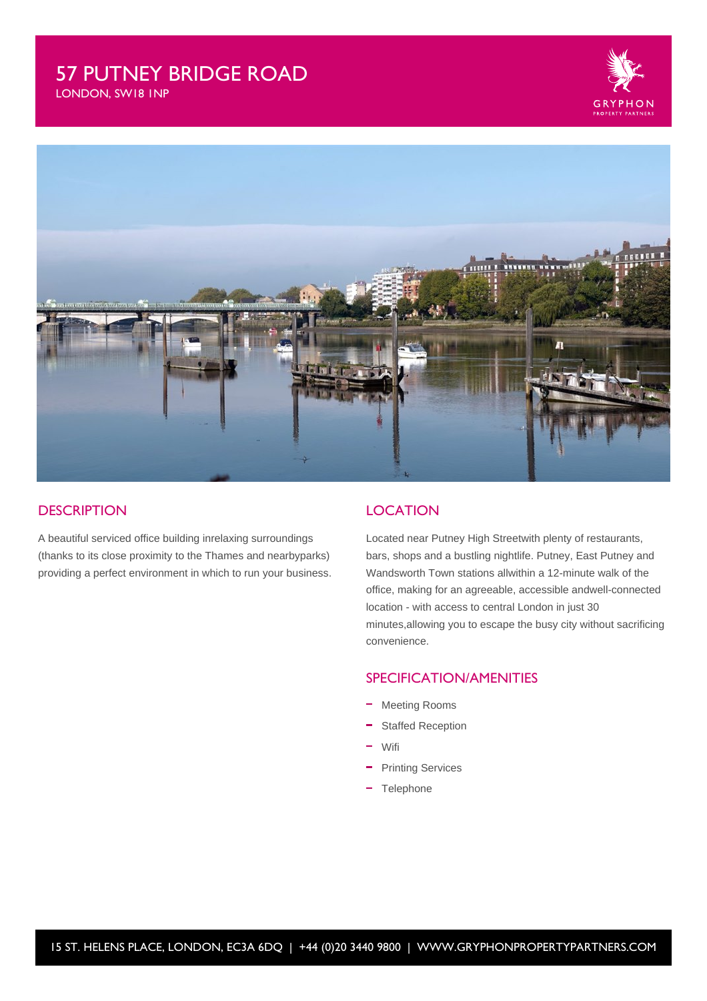# 57 PUTNEY BRIDGE ROAD

LONDON, SW18 1NP





### **DESCRIPTION**

A beautiful serviced office building inrelaxing surroundings (thanks to its close proximity to the Thames and nearbyparks) providing a perfect environment in which to run your business.

### **LOCATION**

Located near Putney High Streetwith plenty of restaurants, bars, shops and a bustling nightlife. Putney, East Putney and Wandsworth Town stations allwithin a 12-minute walk of the office, making for an agreeable, accessible andwell-connected location - with access to central London in just 30 minutes,allowing you to escape the busy city without sacrificing convenience.

### SPECIFICATION/AMENITIES

- Meeting Rooms
- Staffed Reception
- Wifi
- Printing Services
- Telephone